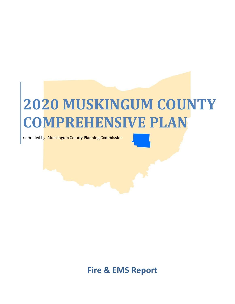## **2020 MUSKINGUM COUNTY COMPREHENSIVE PLAN**

Compiled by: Muskingum County Planning Commission

**Fire & EMS Report**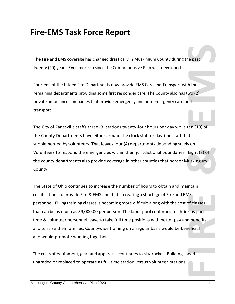## **Fire-EMS Task Force Report**

The Fire and EMS coverage has changed drastically in Muskingum County during the past twenty (20) years. Even more so since the Comprehensive Plan was developed.

Fourteen of the fifteen Fire Departments now provide EMS Care and Transport with the remaining departments providing some first responder care. The County also has two (2) private ambulance companies that provide emergency and non-emergency care and transport.

The City of Zanesville staffs three (3) stations twenty-four hours per day while ten (10) of the County Departments have either around the clock staff or daytime staff that is supplemented by volunteers. That leaves four (4) departments depending solely on Volunteers to respond the emergencies within their jurisdictional boundaries. Eight (8) of the county departments also provide coverage in other counties that border Muskingum County.

The Fire and EMS coverage has changed otratically in Muskingum County during the past<br>twenty (20) years. Even more so since the Comprehensive Plan was developed.<br>Fourteen of the fifteen Fire Departments now provide EMS Car The State of Ohio continues to increase the number of hours to obtain and maintain certificationsto provide Fire & EMS and that is creating a shortage of Fire and EMS personnel. Filling training classes is becoming more difficult along with the cost of classes that can be as much as \$9,000.00 per person. The labor pool continues to shrink as parttime & volunteer personnel leave to take full time positions with better pay and benefits and to raise their families. Countywide training on a regular basis would be beneficial and would promote working together.

The costs of equipment, gear and apparatus continuesto sky-rocket! Buildings need upgraded or replaced to operate as full time station versus volunteer stations.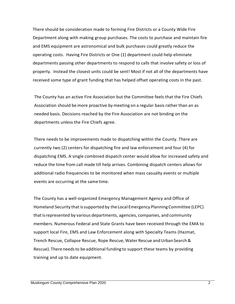There should be consideration made to forming Fire Districts or a County Wide Fire Department along with making group purchases. The costs to purchase and maintain fire and EMS equipment are astronomical and bulk purchases could greatly reduce the operating costs. Having Fire Districts or One (1) department could help eliminate departments passing other departments to respond to calls that involve safety or loss of property. Instead the closest units could be sent! Most if not all of the departments have received some type of grant funding that has helped offset operating costs in the past.

The County has an active Fire Association but the Committee feels that the Fire Chiefs Association should bemore proactive by meeting on a regular basis rather than an as needed basis. Decisions reached by the Fire Association are not binding on the departments unless the Fire Chiefs agree.

There needs to be improvements made to dispatching within the County. There are currently two (2) centers for dispatching fire and law enforcement and four (4) for dispatching EMS. A single combined dispatch center would allow for increased safety and reduce the time from call made till help arrives. Combining dispatch centers allows for additional radio frequencies to be monitored when mass casualty events or multiple events are occurring at the same time.

The County has a well-organized Emergency Management Agency and Office of Homeland Security that issupported by theLocal Emergency Planning Committee (LEPC) thatisrepresented by various departments, agencies, companies, and community members. Numerous Federal and State Grants have been received through the EMA to support local Fire, EMS and Law Enforcement along with Specialty Teams (Hazmat, Trench Rescue, Collapse Rescue, Rope Rescue, Water Rescue and Urban Search & Rescue). There needsto be additional funding to support these teams by providing training and up to date equipment.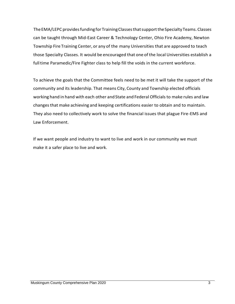TheEMA/LEPC providesfundingfor TrainingClassesthatsupporttheSpecialtyTeams. Classes can be taught through Mid-East Career & Technology Center, Ohio Fire Academy, Newton Township Fire Training Center, or any of the many Universities that are approved to teach those Specialty Classes. It would be encouraged that one of the local Universities establish a full time Paramedic/Fire Fighter class to help fill the voids in the current workforce.

To achieve the goals that the Committee feels need to be met it will take the support of the community and its leadership. That means City, County and Township elected officials working hand in hand with each other and State and Federal Officials to make rules and law changesthat make achieving and keeping certifications easier to obtain and to maintain. They also need to collectively work to solve the financial issues that plague Fire-EMS and Law Enforcement.

If we want people and industry to want to live and work in our community we must make it a safer place to live and work.